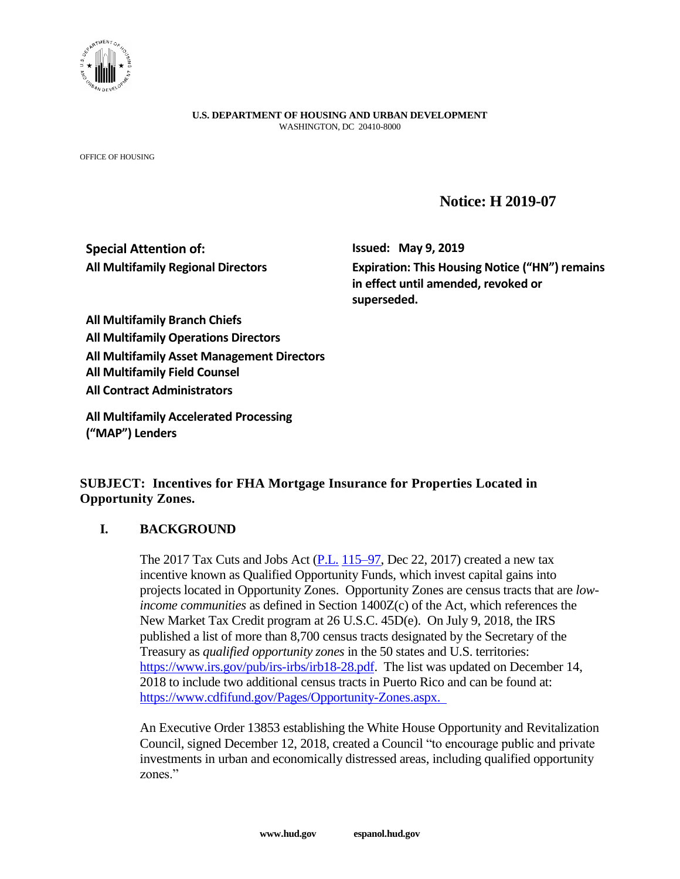

**U.S. DEPARTMENT OF HOUSING AND URBAN DEVELOPMENT** WASHINGTON, DC 20410-8000

OFFICE OF HOUSING

## **Notice: H 2019-07**

# **Special Attention of: Issued: May 9, 2019**

**All Multifamily Regional Directors Expiration: This Housing Notice ("HN") remains in effect until amended, revoked or superseded.**

**All Multifamily Branch Chiefs All Multifamily Operations Directors All Multifamily Asset Management Directors All Multifamily Field Counsel All Contract Administrators**

**All Multifamily Accelerated Processing ("MAP") Lenders**

### **SUBJECT: Incentives for FHA Mortgage Insurance for Properties Located in Opportunity Zones.**

### **I. BACKGROUND**

The 2017 Tax Cuts and Jobs Act  $(P.L. 115–97, Dec 22, 2017)$  $(P.L. 115–97, Dec 22, 2017)$  $(P.L. 115–97, Dec 22, 2017)$  $(P.L. 115–97, Dec 22, 2017)$  created a new tax incentive known as Qualified Opportunity Funds, which invest capital gains into projects located in Opportunity Zones. Opportunity Zones are census tracts that are *lowincome communities* as defined in Section 1400Z(c) of the Act, which references the New Market Tax Credit program at 26 U.S.C. 45D(e). On July 9, 2018, the IRS published a list of more than 8,700 census tracts designated by the Secretary of the Treasury as *qualified opportunity zones* in the 50 states and U.S. territories: [https://www.irs.gov/pub/irs-irbs/irb18-28.pdf.](https://www.irs.gov/pub/irs-irbs/irb18-28.pdf) The list was updated on December 14, 2018 to include two additional census tracts in Puerto Rico and can be found at: [https://www.cdfifund.gov/Pages/Opportunity-Zones.aspx.](https://www.cdfifund.gov/Pages/Opportunity-Zones.aspx)

An Executive Order 13853 establishing the White House Opportunity and Revitalization Council, signed December 12, 2018, created a Council "to encourage public and private investments in urban and economically distressed areas, including qualified opportunity zones."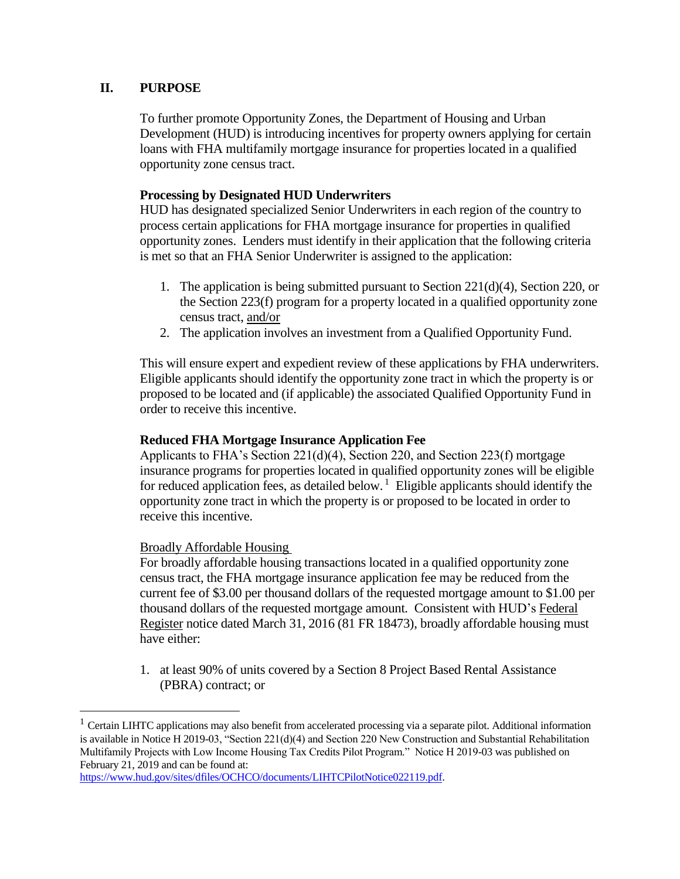### **II. PURPOSE**

To further promote Opportunity Zones, the Department of Housing and Urban Development (HUD) is introducing incentives for property owners applying for certain loans with FHA multifamily mortgage insurance for properties located in a qualified opportunity zone census tract.

#### **Processing by Designated HUD Underwriters**

HUD has designated specialized Senior Underwriters in each region of the country to process certain applications for FHA mortgage insurance for properties in qualified opportunity zones. Lenders must identify in their application that the following criteria is met so that an FHA Senior Underwriter is assigned to the application:

- 1. The application is being submitted pursuant to Section 221(d)(4), Section 220, or the Section 223(f) program for a property located in a qualified opportunity zone census tract, and/or
- 2. The application involves an investment from a Qualified Opportunity Fund.

This will ensure expert and expedient review of these applications by FHA underwriters. Eligible applicants should identify the opportunity zone tract in which the property is or proposed to be located and (if applicable) the associated Qualified Opportunity Fund in order to receive this incentive.

#### **Reduced FHA Mortgage Insurance Application Fee**

Applicants to FHA's Section  $221(d)(4)$ , Section 220, and Section 223(f) mortgage insurance programs for properties located in qualified opportunity zones will be eligible for reduced application fees, as detailed below.<sup>1</sup> Eligible applicants should identify the opportunity zone tract in which the property is or proposed to be located in order to receive this incentive.

Broadly Affordable Housing

 $\overline{a}$ 

For broadly affordable housing transactions located in a qualified opportunity zone census tract, the FHA mortgage insurance application fee may be reduced from the current fee of \$3.00 per thousand dollars of the requested mortgage amount to \$1.00 per thousand dollars of the requested mortgage amount. Consistent with HUD's Federal Register notice dated March 31, 2016 (81 FR 18473), broadly affordable housing must have either:

1. at least 90% of units covered by a Section 8 Project Based Rental Assistance (PBRA) contract; or

<sup>&</sup>lt;sup>1</sup> Certain LIHTC applications may also benefit from accelerated processing via a separate pilot. Additional information is available in Notice H 2019-03, "Section 221(d)(4) and Section 220 New Construction and Substantial Rehabilitation Multifamily Projects with Low Income Housing Tax Credits Pilot Program." Notice H 2019-03 was published on February 21, 2019 and can be found at:

[https://www.hud.gov/sites/dfiles/OCHCO/documents/LIHTCPilotNotice022119.pdf.](https://www.hud.gov/sites/dfiles/OCHCO/documents/LIHTCPilotNotice022119.pdf)